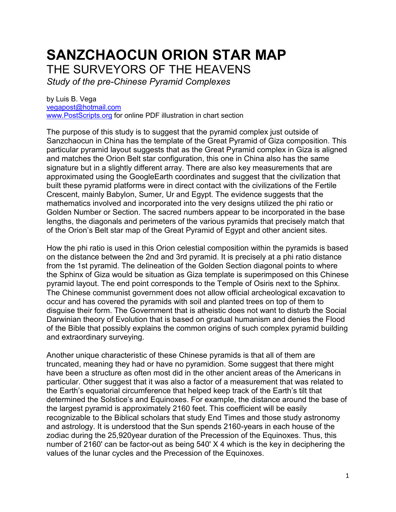# **SANZCHAOCUN ORION STAR MAP**

THE SURVEYORS OF THE HEAVENS

*Study of the pre-Chinese Pyramid Complexes*

by Luis B. Vega [vegapost@hotmail.com](mailto:vegapost@hotmail.com) [www.PostScripts.org](http://www.postscripts.org/) for online PDF illustration in chart section

The purpose of this study is to suggest that the pyramid complex just outside of Sanzchaocun in China has the template of the Great Pyramid of Giza composition. This particular pyramid layout suggests that as the Great Pyramid complex in Giza is aligned and matches the Orion Belt star configuration, this one in China also has the same signature but in a slightly different array. There are also key measurements that are approximated using the GoogleEarth coordinates and suggest that the civilization that built these pyramid platforms were in direct contact with the civilizations of the Fertile Crescent, mainly Babylon, Sumer, Ur and Egypt. The evidence suggests that the mathematics involved and incorporated into the very designs utilized the phi ratio or Golden Number or Section. The sacred numbers appear to be incorporated in the base lengths, the diagonals and perimeters of the various pyramids that precisely match that of the Orion's Belt star map of the Great Pyramid of Egypt and other ancient sites.

How the phi ratio is used in this Orion celestial composition within the pyramids is based on the distance between the 2nd and 3rd pyramid. It is precisely at a phi ratio distance from the 1st pyramid. The delineation of the Golden Section diagonal points to where the Sphinx of Giza would be situation as Giza template is superimposed on this Chinese pyramid layout. The end point corresponds to the Temple of Osiris next to the Sphinx. The Chinese communist government does not allow official archeological excavation to occur and has covered the pyramids with soil and planted trees on top of them to disguise their form. The Government that is atheistic does not want to disturb the Social Darwinian theory of Evolution that is based on gradual humanism and denies the Flood of the Bible that possibly explains the common origins of such complex pyramid building and extraordinary surveying.

Another unique characteristic of these Chinese pyramids is that all of them are truncated, meaning they had or have no pyramidion. Some suggest that there might have been a structure as often most did in the other ancient areas of the Americans in particular. Other suggest that it was also a factor of a measurement that was related to the Earth's equatorial circumference that helped keep track of the Earth's tilt that determined the Solstice's and Equinoxes. For example, the distance around the base of the largest pyramid is approximately 2160 feet. This coefficient will be easily recognizable to the Biblical scholars that study End Times and those study astronomy and astrology. It is understood that the Sun spends 2160-years in each house of the zodiac during the 25,920year duration of the Precession of the Equinoxes. Thus, this number of 2160' can be factor-out as being 540' X 4 which is the key in deciphering the values of the lunar cycles and the Precession of the Equinoxes.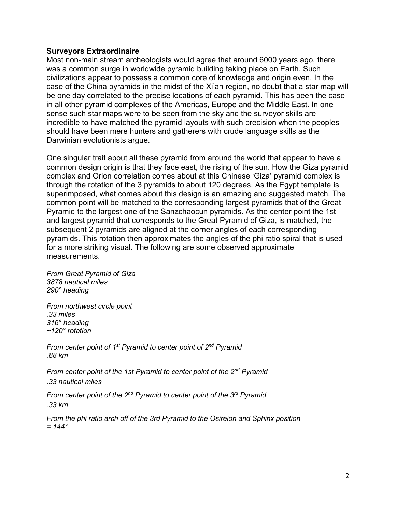#### **Surveyors Extraordinaire**

Most non-main stream archeologists would agree that around 6000 years ago, there was a common surge in worldwide pyramid building taking place on Earth. Such civilizations appear to possess a common core of knowledge and origin even. In the case of the China pyramids in the midst of the Xi'an region, no doubt that a star map will be one day correlated to the precise locations of each pyramid. This has been the case in all other pyramid complexes of the Americas, Europe and the Middle East. In one sense such star maps were to be seen from the sky and the surveyor skills are incredible to have matched the pyramid layouts with such precision when the peoples should have been mere hunters and gatherers with crude language skills as the Darwinian evolutionists argue.

One singular trait about all these pyramid from around the world that appear to have a common design origin is that they face east, the rising of the sun. How the Giza pyramid complex and Orion correlation comes about at this Chinese 'Giza' pyramid complex is through the rotation of the 3 pyramids to about 120 degrees. As the Egypt template is superimposed, what comes about this design is an amazing and suggested match. The common point will be matched to the corresponding largest pyramids that of the Great Pyramid to the largest one of the Sanzchaocun pyramids. As the center point the 1st and largest pyramid that corresponds to the Great Pyramid of Giza, is matched, the subsequent 2 pyramids are aligned at the corner angles of each corresponding pyramids. This rotation then approximates the angles of the phi ratio spiral that is used for a more striking visual. The following are some observed approximate measurements.

*From Great Pyramid of Giza 3878 nautical miles 290° heading*

*From northwest circle point .33 miles 316° heading ~120° rotation*

*From center point of 1st Pyramid to center point of 2nd Pyramid .88 km*

*From center point of the 1st Pyramid to center point of the 2nd Pyramid .33 nautical miles* 

*From center point of the 2nd Pyramid to center point of the 3rd Pyramid .33 km* 

*From the phi ratio arch off of the 3rd Pyramid to the Osireion and Sphinx position = 144°*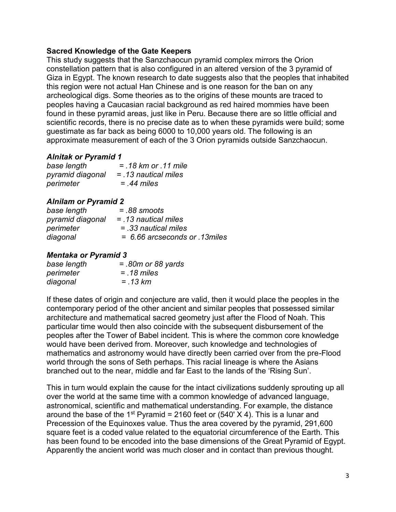#### **Sacred Knowledge of the Gate Keepers**

This study suggests that the Sanzchaocun pyramid complex mirrors the Orion constellation pattern that is also configured in an altered version of the 3 pyramid of Giza in Egypt. The known research to date suggests also that the peoples that inhabited this region were not actual Han Chinese and is one reason for the ban on any archeological digs. Some theories as to the origins of these mounts are traced to peoples having a Caucasian racial background as red haired mommies have been found in these pyramid areas, just like in Peru. Because there are so little official and scientific records, there is no precise date as to when these pyramids were build; some guestimate as far back as being 6000 to 10,000 years old. The following is an approximate measurement of each of the 3 Orion pyramids outside Sanzchaocun.

## *Alnitak or Pyramid 1*

| base length      | $= 18$ km or $.11$ mile |
|------------------|-------------------------|
| pyramid diagonal | $=$ .13 nautical miles  |
| perimeter        | $=$ 44 miles            |

## *Alnilam or Pyramid 2*

| base length      | $=.88$ smoots                 |
|------------------|-------------------------------|
| pyramid diagonal | $=$ 13 nautical miles         |
| perimeter        | $=$ .33 nautical miles        |
| diagonal         | = 6.66 arcseconds or 13 miles |

## *Mentaka or Pyramid 3*

| base length | $= .80m$ or 88 yards |
|-------------|----------------------|
| perimeter   | $= 18$ miles         |
| diagonal    | $= .13 km$           |

If these dates of origin and conjecture are valid, then it would place the peoples in the contemporary period of the other ancient and similar peoples that possessed similar architecture and mathematical sacred geometry just after the Flood of Noah. This particular time would then also coincide with the subsequent disbursement of the peoples after the Tower of Babel incident. This is where the common core knowledge would have been derived from. Moreover, such knowledge and technologies of mathematics and astronomy would have directly been carried over from the pre-Flood world through the sons of Seth perhaps. This racial lineage is where the Asians branched out to the near, middle and far East to the lands of the 'Rising Sun'.

This in turn would explain the cause for the intact civilizations suddenly sprouting up all over the world at the same time with a common knowledge of advanced language, astronomical, scientific and mathematical understanding. For example, the distance around the base of the 1<sup>st</sup> Pyramid = 2160 feet or (540' X 4). This is a lunar and Precession of the Equinoxes value. Thus the area covered by the pyramid, 291,600 square feet is a coded value related to the equatorial circumference of the Earth. This has been found to be encoded into the base dimensions of the Great Pyramid of Egypt. Apparently the ancient world was much closer and in contact than previous thought.